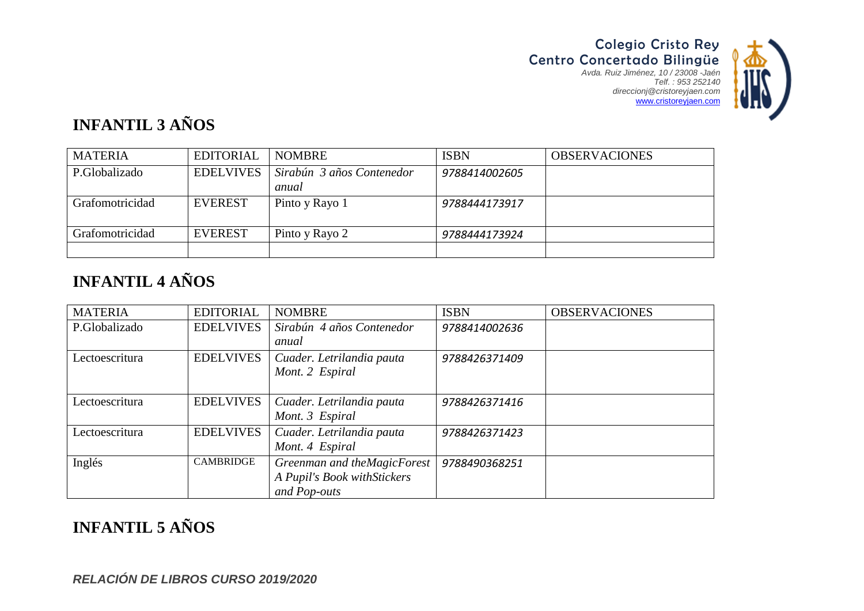

# **INFANTIL 3 AÑOS**

| <b>MATERIA</b>  | <b>EDITORIAL</b> | <b>NOMBRE</b>             | <b>ISBN</b>   | <b>OBSERVACIONES</b> |
|-----------------|------------------|---------------------------|---------------|----------------------|
| P.Globalizado   | <b>EDELVIVES</b> | Sirabún 3 años Contenedor | 9788414002605 |                      |
|                 |                  | anual                     |               |                      |
| Grafomotricidad | <b>EVEREST</b>   | Pinto y Rayo 1            | 9788444173917 |                      |
|                 |                  |                           |               |                      |
| Grafomotricidad | <b>EVEREST</b>   | Pinto y Rayo 2            | 9788444173924 |                      |
|                 |                  |                           |               |                      |

## **INFANTIL 4 AÑOS**

| <b>MATERIA</b> | <b>EDITORIAL</b> | <b>NOMBRE</b>                                                               | <b>ISBN</b>   | <b>OBSERVACIONES</b> |
|----------------|------------------|-----------------------------------------------------------------------------|---------------|----------------------|
| P.Globalizado  | <b>EDELVIVES</b> | Sirabún 4 años Contenedor<br>anual                                          | 9788414002636 |                      |
| Lectoescritura | <b>EDELVIVES</b> | Cuader. Letrilandia pauta<br>Mont. 2 Espiral                                | 9788426371409 |                      |
| Lectoescritura | <b>EDELVIVES</b> | Cuader. Letrilandia pauta<br>Mont. 3 Espiral                                | 9788426371416 |                      |
| Lectoescritura | <b>EDELVIVES</b> | Cuader. Letrilandia pauta<br>Mont. 4 Espiral                                | 9788426371423 |                      |
| Inglés         | <b>CAMBRIDGE</b> | Greenman and theMagicForest<br>A Pupil's Book with Stickers<br>and Pop-outs | 9788490368251 |                      |

### **INFANTIL 5 AÑOS**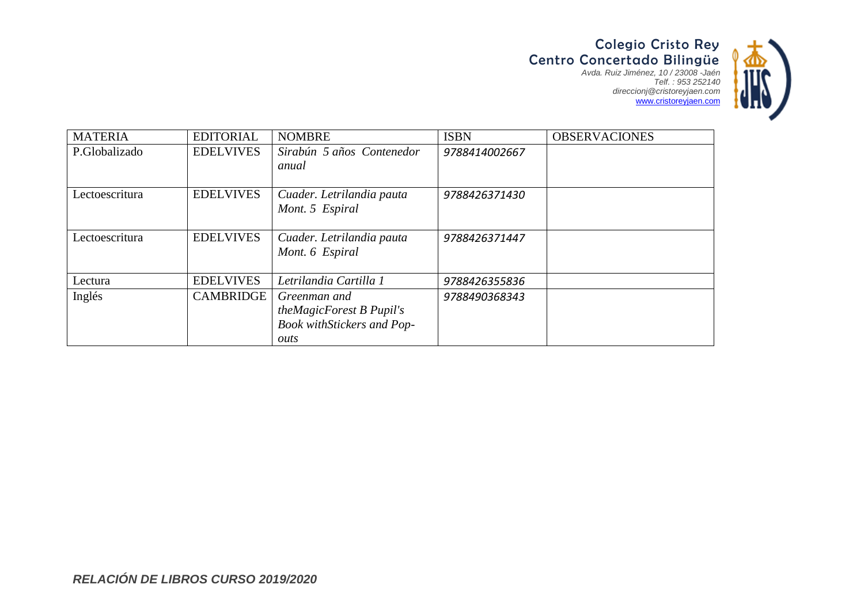Colegio Cristo Rey Centro Concertado Bilingüe *Avda. Ruiz Jiménez, 10 / 23008 -Jaén Telf. : 953 252140 direccionj@cristoreyjaen.com* www.cristoreyjaen.com



| <b>MATERIA</b> | <b>EDITORIAL</b> | <b>NOMBRE</b>                     | <b>ISBN</b>   | <b>OBSERVACIONES</b> |
|----------------|------------------|-----------------------------------|---------------|----------------------|
| P.Globalizado  | <b>EDELVIVES</b> | Sirabún 5 años Contenedor         | 9788414002667 |                      |
|                |                  | anual                             |               |                      |
| Lectoescritura | <b>EDELVIVES</b> | Cuader. Letrilandia pauta         | 9788426371430 |                      |
|                |                  | Mont. 5 Espiral                   |               |                      |
|                |                  |                                   |               |                      |
| Lectoescritura | <b>EDELVIVES</b> | Cuader. Letrilandia pauta         | 9788426371447 |                      |
|                |                  | Mont. 6 Espiral                   |               |                      |
|                |                  |                                   |               |                      |
| Lectura        | <b>EDELVIVES</b> | Letrilandia Cartilla 1            | 9788426355836 |                      |
| Inglés         | <b>CAMBRIDGE</b> | Greenman and                      | 9788490368343 |                      |
|                |                  | theMagicForest B Pupil's          |               |                      |
|                |                  | <b>Book withStickers and Pop-</b> |               |                      |
|                |                  | outs                              |               |                      |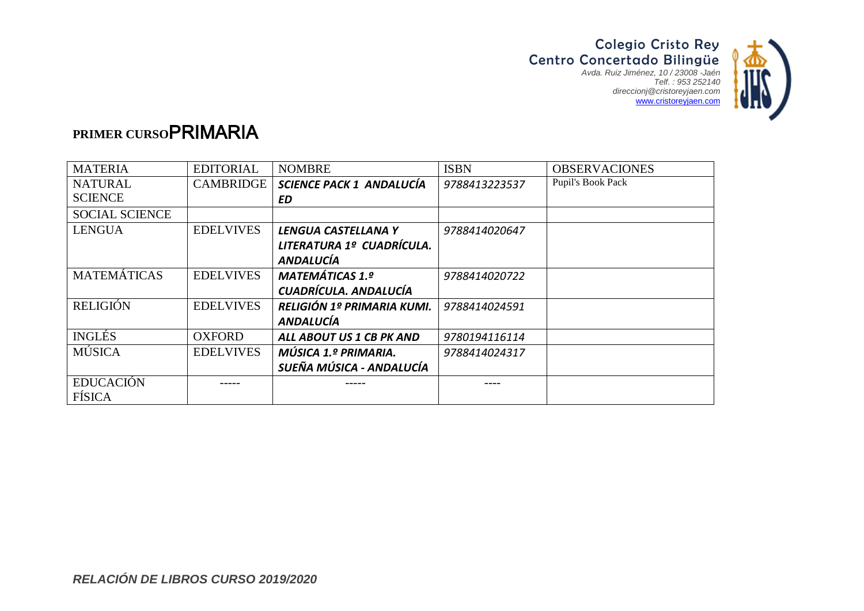

### **PRIMER CURSO**PRIMARIA

| <b>MATERIA</b>        | <b>EDITORIAL</b> | <b>NOMBRE</b>                   | <b>ISBN</b>   | <b>OBSERVACIONES</b> |
|-----------------------|------------------|---------------------------------|---------------|----------------------|
| <b>NATURAL</b>        | <b>CAMBRIDGE</b> | <b>SCIENCE PACK 1 ANDALUCÍA</b> | 9788413223537 | Pupil's Book Pack    |
| <b>SCIENCE</b>        |                  | ED.                             |               |                      |
| <b>SOCIAL SCIENCE</b> |                  |                                 |               |                      |
| <b>LENGUA</b>         | <b>EDELVIVES</b> | LENGUA CASTELLANA Y             | 9788414020647 |                      |
|                       |                  | LITERATURA 1º CUADRÍCULA.       |               |                      |
|                       |                  | <b>ANDALUCÍA</b>                |               |                      |
| <b>MATEMÁTICAS</b>    | <b>EDELVIVES</b> | <b>MATEMÁTICAS 1.º</b>          | 9788414020722 |                      |
|                       |                  | CUADRÍCULA. ANDALUCÍA           |               |                      |
| <b>RELIGIÓN</b>       | <b>EDELVIVES</b> | RELIGIÓN 1º PRIMARIA KUMI.      | 9788414024591 |                      |
|                       |                  | <b>ANDALUCÍA</b>                |               |                      |
| <b>INGLÉS</b>         | <b>OXFORD</b>    | ALL ABOUT US 1 CB PK AND        | 9780194116114 |                      |
| <b>MÚSICA</b>         | <b>EDELVIVES</b> | MÚSICA 1.º PRIMARIA.            | 9788414024317 |                      |
|                       |                  | SUEÑA MÚSICA - ANDALUCÍA        |               |                      |
| <b>EDUCACIÓN</b>      |                  |                                 |               |                      |
| <b>FÍSICA</b>         |                  |                                 |               |                      |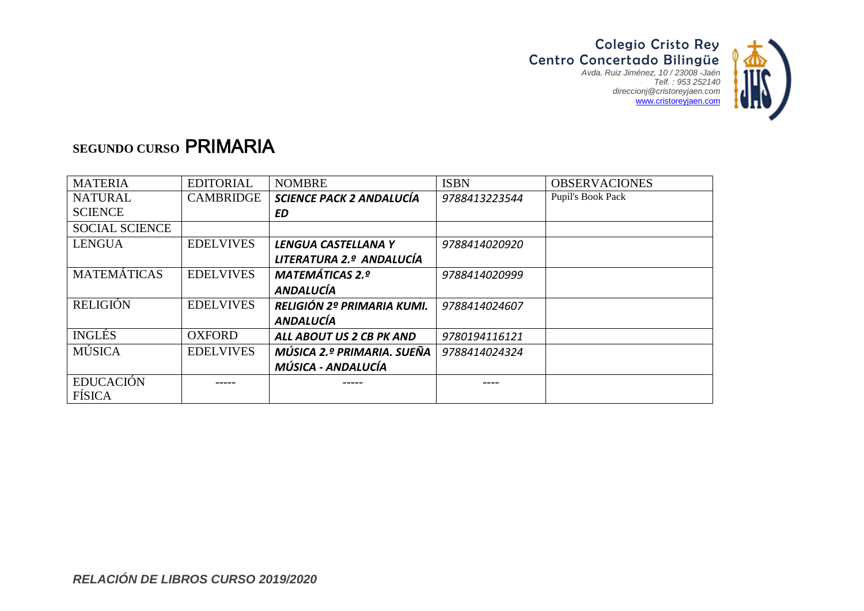

### **SEGUNDO CURSO** PRIMARIA

| <b>MATERIA</b>        | <b>EDITORIAL</b> | <b>NOMBRE</b>              | <b>ISBN</b>   | <b>OBSERVACIONES</b> |
|-----------------------|------------------|----------------------------|---------------|----------------------|
| <b>NATURAL</b>        | <b>CAMBRIDGE</b> | SCIENCE PACK 2 ANDALUCÍA   | 9788413223544 | Pupil's Book Pack    |
| <b>SCIENCE</b>        |                  | ED                         |               |                      |
| <b>SOCIAL SCIENCE</b> |                  |                            |               |                      |
| <b>LENGUA</b>         | <b>EDELVIVES</b> | LENGUA CASTELLANA Y        | 9788414020920 |                      |
|                       |                  | LITERATURA 2.º ANDALUCÍA   |               |                      |
| <b>MATEMÁTICAS</b>    | <b>EDELVIVES</b> | <b>MATEMÁTICAS 2.º</b>     | 9788414020999 |                      |
|                       |                  | <b>ANDALUCÍA</b>           |               |                      |
| <b>RELIGIÓN</b>       | <b>EDELVIVES</b> | RELIGIÓN 2º PRIMARIA KUMI. | 9788414024607 |                      |
|                       |                  | <b>ANDALUCÍA</b>           |               |                      |
| <b>INGLÉS</b>         | <b>OXFORD</b>    | ALL ABOUT US 2 CB PK AND   | 9780194116121 |                      |
| <b>MÚSICA</b>         | <b>EDELVIVES</b> | MÚSICA 2.º PRIMARIA. SUEÑA | 9788414024324 |                      |
|                       |                  | MÚSICA - ANDALUCÍA         |               |                      |
| <b>EDUCACIÓN</b>      |                  |                            |               |                      |
| FÍSICA                |                  |                            |               |                      |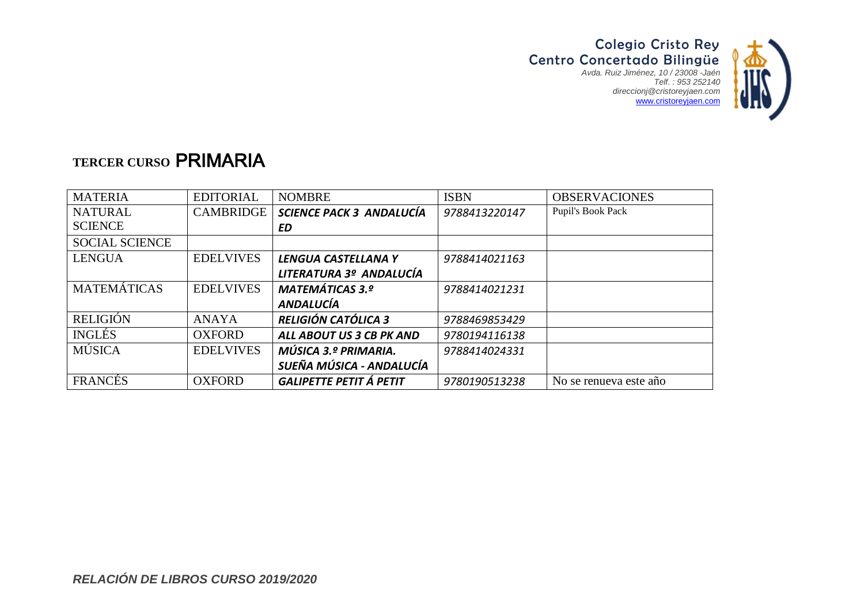

### **TERCER CURSO** PRIMARIA

| <b>MATERIA</b>        | <b>EDITORIAL</b> | <b>NOMBRE</b>                  | <b>ISBN</b>   | <b>OBSERVACIONES</b>   |
|-----------------------|------------------|--------------------------------|---------------|------------------------|
| <b>NATURAL</b>        | <b>CAMBRIDGE</b> | SCIENCE PACK 3 ANDALUCÍA       | 9788413220147 | Pupil's Book Pack      |
| <b>SCIENCE</b>        |                  | ED                             |               |                        |
| <b>SOCIAL SCIENCE</b> |                  |                                |               |                        |
| <b>LENGUA</b>         | <b>EDELVIVES</b> | LENGUA CASTELLANA Y            | 9788414021163 |                        |
|                       |                  | LITERATURA 3º ANDALUCÍA        |               |                        |
| <b>MATEMÁTICAS</b>    | <b>EDELVIVES</b> | <b>MATEMÁTICAS 3.º</b>         | 9788414021231 |                        |
|                       |                  | <b>ANDALUCÍA</b>               |               |                        |
| <b>RELIGIÓN</b>       | <b>ANAYA</b>     | <b>RELIGIÓN CATÓLICA 3</b>     | 9788469853429 |                        |
| <b>INGLÉS</b>         | <b>OXFORD</b>    | ALL ABOUT US 3 CB PK AND       | 9780194116138 |                        |
| <b>MÚSICA</b>         | <b>EDELVIVES</b> | MÚSICA 3.º PRIMARIA.           | 9788414024331 |                        |
|                       |                  | SUEÑA MÚSICA - ANDALUCÍA       |               |                        |
| <b>FRANCÉS</b>        | <b>OXFORD</b>    | <b>GALIPETTE PETIT Á PETIT</b> | 9780190513238 | No se renueva este año |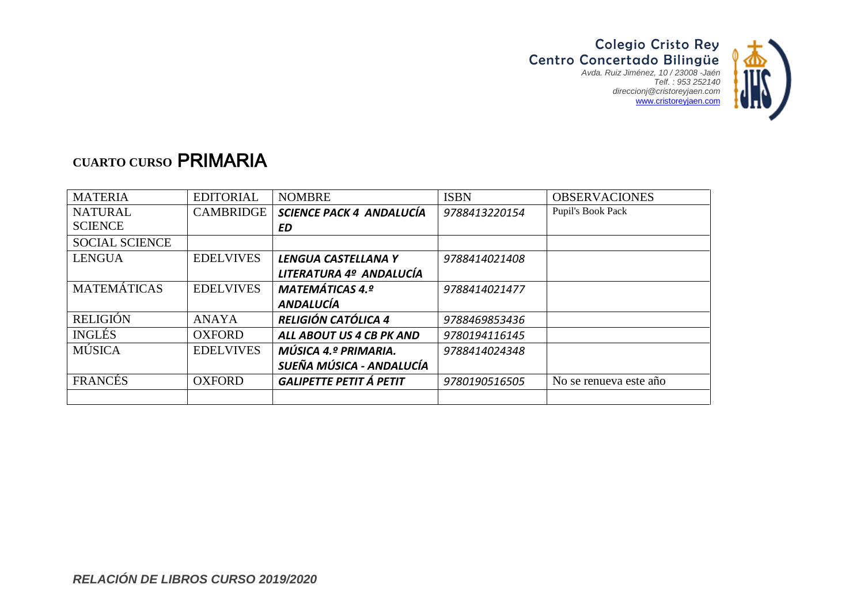

# **CUARTO CURSO** PRIMARIA

| <b>MATERIA</b>        | <b>EDITORIAL</b> | <b>NOMBRE</b>                  | <b>ISBN</b>   | <b>OBSERVACIONES</b>   |
|-----------------------|------------------|--------------------------------|---------------|------------------------|
| <b>NATURAL</b>        | CAMBRIDGE        | SCIENCE PACK 4 ANDALUCÍA       | 9788413220154 | Pupil's Book Pack      |
| <b>SCIENCE</b>        |                  | ED                             |               |                        |
| <b>SOCIAL SCIENCE</b> |                  |                                |               |                        |
| <b>LENGUA</b>         | <b>EDELVIVES</b> | LENGUA CASTELLANA Y            | 9788414021408 |                        |
|                       |                  | LITERATURA 4º ANDALUCÍA        |               |                        |
| <b>MATEMÁTICAS</b>    | <b>EDELVIVES</b> | <b>MATEMÁTICAS 4.º</b>         | 9788414021477 |                        |
|                       |                  | <b>ANDALUCÍA</b>               |               |                        |
| <b>RELIGIÓN</b>       | <b>ANAYA</b>     | <b>RELIGIÓN CATÓLICA 4</b>     | 9788469853436 |                        |
| <b>INGLÉS</b>         | <b>OXFORD</b>    | ALL ABOUT US 4 CB PK AND       | 9780194116145 |                        |
| <b>MÚSICA</b>         | <b>EDELVIVES</b> | MÚSICA 4.º PRIMARIA.           | 9788414024348 |                        |
|                       |                  | SUEÑA MÚSICA - ANDALUCÍA       |               |                        |
| FRANCÉS               | <b>OXFORD</b>    | <b>GALIPETTE PETIT Á PETIT</b> | 9780190516505 | No se renueva este año |
|                       |                  |                                |               |                        |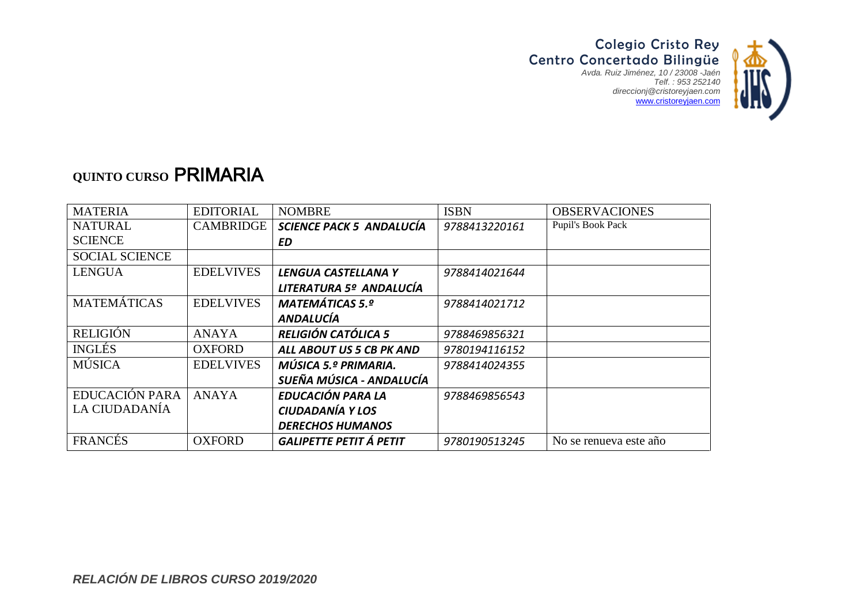

### **QUINTO CURSO** PRIMARIA

| <b>MATERIA</b>        | <b>EDITORIAL</b> | <b>NOMBRE</b>                  | <b>ISBN</b>   | <b>OBSERVACIONES</b>   |
|-----------------------|------------------|--------------------------------|---------------|------------------------|
| <b>NATURAL</b>        | <b>CAMBRIDGE</b> | SCIENCE PACK 5 ANDALUCÍA       | 9788413220161 | Pupil's Book Pack      |
| <b>SCIENCE</b>        |                  | ED                             |               |                        |
| <b>SOCIAL SCIENCE</b> |                  |                                |               |                        |
| <b>LENGUA</b>         | <b>EDELVIVES</b> | LENGUA CASTELLANA Y            | 9788414021644 |                        |
|                       |                  | LITERATURA 5º ANDALUCÍA        |               |                        |
| <b>MATEMÁTICAS</b>    | <b>EDELVIVES</b> | <b>MATEMÁTICAS 5.º</b>         | 9788414021712 |                        |
|                       |                  | <b>ANDALUCÍA</b>               |               |                        |
| <b>RELIGIÓN</b>       | <b>ANAYA</b>     | <b>RELIGIÓN CATÓLICA 5</b>     | 9788469856321 |                        |
| <b>INGLÉS</b>         | <b>OXFORD</b>    | ALL ABOUT US 5 CB PK AND       | 9780194116152 |                        |
| <b>MÚSICA</b>         | <b>EDELVIVES</b> | MÚSICA 5.º PRIMARIA.           | 9788414024355 |                        |
|                       |                  | SUEÑA MÚSICA - ANDALUCÍA       |               |                        |
| EDUCACIÓN PARA        | <b>ANAYA</b>     | EDUCACIÓN PARA LA              | 9788469856543 |                        |
| LA CIUDADANÍA         |                  | CIUDADANÍA Y LOS               |               |                        |
|                       |                  | <b>DERECHOS HUMANOS</b>        |               |                        |
| FRANCÉS               | <b>OXFORD</b>    | <b>GALIPETTE PETIT Á PETIT</b> | 9780190513245 | No se renueva este año |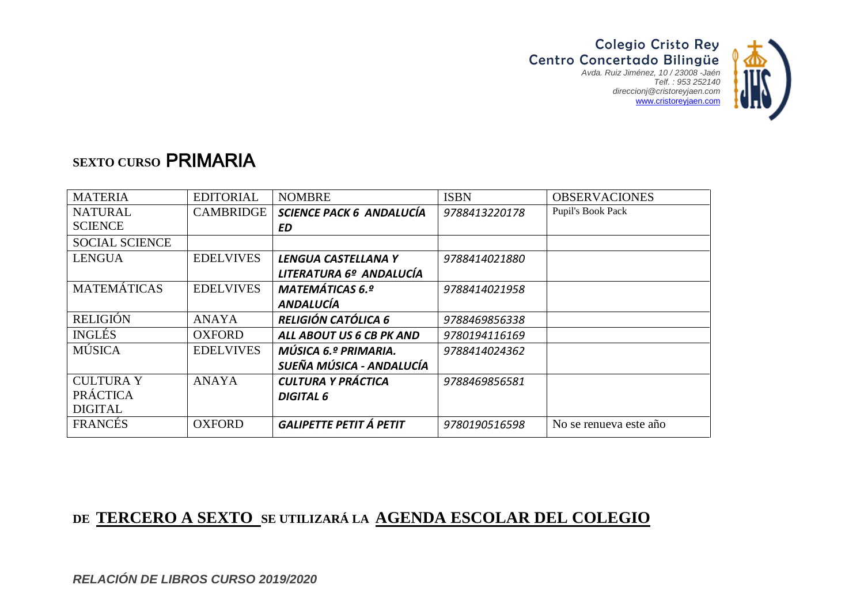

#### **SEXTO CURSO** PRIMARIA

| <b>MATERIA</b>        | <b>EDITORIAL</b> | <b>NOMBRE</b>                  | <b>ISBN</b>   | <b>OBSERVACIONES</b>   |
|-----------------------|------------------|--------------------------------|---------------|------------------------|
| <b>NATURAL</b>        | CAMBRIDGE        | SCIENCE PACK 6 ANDALUCÍA       | 9788413220178 | Pupil's Book Pack      |
| <b>SCIENCE</b>        |                  | ΕD                             |               |                        |
| <b>SOCIAL SCIENCE</b> |                  |                                |               |                        |
| <b>LENGUA</b>         | <b>EDELVIVES</b> | LENGUA CASTELLANA Y            | 9788414021880 |                        |
|                       |                  | LITERATURA 6º ANDALUCÍA        |               |                        |
| <b>MATEMÁTICAS</b>    | <b>EDELVIVES</b> | <b>MATEMÁTICAS 6.º</b>         | 9788414021958 |                        |
|                       |                  | <b>ANDALUCÍA</b>               |               |                        |
| <b>RELIGIÓN</b>       | <b>ANAYA</b>     | <b>RELIGIÓN CATÓLICA 6</b>     | 9788469856338 |                        |
| <b>INGLÉS</b>         | <b>OXFORD</b>    | ALL ABOUT US 6 CB PK AND       | 9780194116169 |                        |
| <b>MÚSICA</b>         | <b>EDELVIVES</b> | MÚSICA 6.º PRIMARIA.           | 9788414024362 |                        |
|                       |                  | SUEÑA MÚSICA - ANDALUCÍA       |               |                        |
| <b>CULTURA Y</b>      | <b>ANAYA</b>     | CULTURA Y PRÁCTICA             | 9788469856581 |                        |
| <b>PRÁCTICA</b>       |                  | <b>DIGITAL 6</b>               |               |                        |
| <b>DIGITAL</b>        |                  |                                |               |                        |
| <b>FRANCES</b>        | <b>OXFORD</b>    | <b>GALIPETTE PETIT Á PETIT</b> | 9780190516598 | No se renueva este año |

#### **DE TERCERO A SEXTO SE UTILIZARÁ LA AGENDA ESCOLAR DEL COLEGIO**

*RELACIÓN DE LIBROS CURSO 2019/2020*